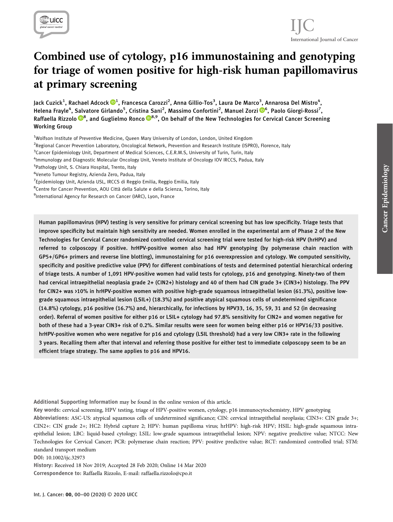

## International Journal of Cancer IJC

# Combined use of cytology, p16 immunostaining and genotyping for triage of women positive for high-risk human papillomavirus at primary screening

Jack Cuzick<sup>1</sup>, Rachael Adcock ®<sup>1</sup>, Francesca Carozzi<sup>2</sup>, Anna Gillio-Tos<sup>3</sup>, Laura De Marco<sup>3</sup>, Annarosa Del Mistro<sup>4</sup>, Helena Frayle<sup>4</sup>, Salvatore Girlando<sup>5</sup>, Cristina Sani<sup>2</sup>, Massimo Confortini<sup>2</sup>, Manuel Zorzi ®[6](https://orcid.org/0000-0001-6025-5214), Paolo Giorgi-Rossi<sup>7</sup>, Raffaella Rizzolo <sup>®[8](https://orcid.org/0000-0003-3016-1131)</sup>, and Guglielmo Ronco ®8,9, On behalf of the New Technologies for Cervical Cancer Screening Working Group

<sup>1</sup>Wolfson Institute of Preventive Medicine, Queen Mary University of London, London, United Kingdom

- <sup>2</sup>Regional Cancer Prevention Laboratory, Oncological Network, Prevention and Research Institute (ISPRO), Florence, Italy
- <sup>3</sup> Cancer Epidemiology Unit, Department of Medical Sciences, C.E.R.M.S, University of Turin, Turin, Italy

5 Pathology Unit, S. Chiara Hospital, Trento, Italy

<sup>7</sup> Epidemiology Unit, Azienda USL, IRCCS di Reggio Emilia, Reggio Emilia, Italy

<sup>8</sup>Centre for Cancer Prevention, AOU Città della Salute e della Scienza, Torino, Italy

<sup>9</sup>International Agency for Research on Cancer (IARC), Lyon, France

Human papillomavirus (HPV) testing is very sensitive for primary cervical screening but has low specificity. Triage tests that improve specificity but maintain high sensitivity are needed. Women enrolled in the experimental arm of Phase 2 of the New Technologies for Cervical Cancer randomized controlled cervical screening trial were tested for high-risk HPV (hrHPV) and referred to colposcopy if positive. hrHPV-positive women also had HPV genotyping (by polymerase chain reaction with GP5+/GP6+ primers and reverse line blotting), immunostaining for p16 overexpression and cytology. We computed sensitivity, specificity and positive predictive value (PPV) for different combinations of tests and determined potential hierarchical ordering of triage tests. A number of 1,091 HPV-positive women had valid tests for cytology, p16 and genotyping. Ninety-two of them had cervical intraepithelial neoplasia grade 2+ (CIN2+) histology and 40 of them had CIN grade 3+ (CIN3+) histology. The PPV for CIN2+ was >10% in hrHPV-positive women with positive high-grade squamous intraepithelial lesion (61.3%), positive lowgrade squamous intraepithelial lesion (LSIL+) (18.3%) and positive atypical squamous cells of undetermined significance (14.8%) cytology, p16 positive (16.7%) and, hierarchically, for infections by HPV33, 16, 35, 59, 31 and 52 (in decreasing order). Referral of women positive for either p16 or LSIL+ cytology had 97.8% sensitivity for CIN2+ and women negative for both of these had a 3-year CIN3+ risk of 0.2%. Similar results were seen for women being either p16 or HPV16/33 positive. hrHPV-positive women who were negative for p16 and cytology (LSIL threshold) had a very low CIN3+ rate in the following 3 years. Recalling them after that interval and referring those positive for either test to immediate colposcopy seem to be an efficient triage strategy. The same applies to p16 and HPV16.

Additional Supporting Information may be found in the online version of this article.

Key words: cervical screening, HPV testing, triage of HPV-positive women, cytology, p16 immunocytochemistry, HPV genotyping Abbreviations: ASC-US: atypical squamous cells of undetermined significance; CIN: cervical intraepithelial neoplasia; CIN3+: CIN grade 3+; CIN2+: CIN grade 2+; HC2: Hybrid capture 2; HPV: human papilloma virus; hrHPV: high-risk HPV; HSIL: high-grade squamous intraepithelial lesion; LBC: liquid-based cytology; LSIL: low-grade squamous intraepithelial lesion; NPV: negative predictive value; NTCC: New Technologies for Cervical Cancer; PCR: polymerase chain reaction; PPV: positive predictive value; RCT: randomized controlled trial; STM: standard transport medium

DOI: 10.1002/ijc.32973

History: Received 18 Nov 2019; Accepted 28 Feb 2020; Online 14 Mar 2020 Correspondence to: Raffaella Rizzolo, E-mail: [raffaella.rizzolo@cpo.it](mailto:raffaella.rizzolo@cpo.it)

<sup>4</sup> Immunology and Diagnostic Molecular Oncology Unit, Veneto Institute of Oncology IOV IRCCS, Padua, Italy

<sup>6</sup> Veneto Tumour Registry, Azienda Zero, Padua, Italy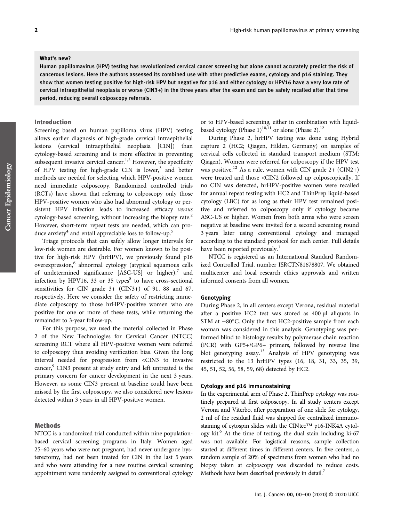#### What's new?

Human papillomavirus (HPV) testing has revolutionized cervical cancer screening but alone cannot accurately predict the risk of cancerous lesions. Here the authors assessed its combined use with other predictive exams, cytology and p16 staining. They show that women testing positive for high-risk HPV but negative for p16 and either cytology or HPV16 have a very low rate of cervical intraepithelial neoplasia or worse (CIN3+) in the three years after the exam and can be safely recalled after that time period, reducing overall colposcopy referrals.

## Introduction

Screening based on human papilloma virus (HPV) testing allows earlier diagnosis of high-grade cervical intraepithelial lesions (cervical intraepithelial neoplasia [CIN]) than cytology-based screening and is more effective in preventing subsequent invasive cervical cancer.<sup>1,2</sup> However, the specificity of HPV testing for high-grade CIN is lower, $3$  and better methods are needed for selecting which HPV-positive women need immediate colposcopy. Randomized controlled trials (RCTs) have shown that referring to colposcopy only those HPV-positive women who also had abnormal cytology or persistent HPV infection leads to increased efficacy versus cytology-based screening, without increasing the biopsy rate.<sup>2</sup> However, short-term repeat tests are needed, which can produce anxiety<sup>4</sup> and entail appreciable loss to follow-up.<sup>5</sup>

Triage protocols that can safely allow longer intervals for low-risk women are desirable. For women known to be positive for high-risk HPV (hrHPV), we previously found p16 overexpression,<sup>6</sup> abnormal cytology (atypical squamous cells of undetermined significance  $[ASC-US]$  or higher),<sup>7</sup> and infection by HPV16, 33 or 35 types $8$  to have cross-sectional sensitivities for CIN grade 3+ (CIN3+) of 91, 88 and 67, respectively. Here we consider the safety of restricting immediate colposcopy to those hrHPV-positive women who are positive for one or more of these tests, while returning the remainder to 3-year follow-up.

For this purpose, we used the material collected in Phase 2 of the New Technologies for Cervical Cancer (NTCC) screening RCT where all HPV-positive women were referred to colposcopy thus avoiding verification bias. Given the long interval needed for progression from <CIN3 to invasive cancer,<sup>9</sup> CIN3 present at study entry and left untreated is the primary concern for cancer development in the next 3 years. However, as some CIN3 present at baseline could have been missed by the first colposcopy, we also considered new lesions detected within 3 years in all HPV-positive women.

## Methods

NTCC is a randomized trial conducted within nine populationbased cervical screening programs in Italy. Women aged 25–60 years who were not pregnant, had never undergone hysterectomy, had not been treated for CIN in the last 5 years and who were attending for a new routine cervical screening appointment were randomly assigned to conventional cytology or to HPV-based screening, either in combination with liquidbased cytology (Phase 1)<sup>10,11</sup> or alone (Phase 2).<sup>12</sup>

During Phase 2, hrHPV testing was done using Hybrid capture 2 (HC2; Qiagen, Hilden, Germany) on samples of cervical cells collected in standard transport medium (STM; Qiagen). Women were referred for colposcopy if the HPV test was positive.<sup>12</sup> As a rule, women with CIN grade  $2+$  (CIN2+) were treated and those <CIN2 followed up colposcopically. If no CIN was detected, hrHPV-positive women were recalled for annual repeat testing with HC2 and ThinPrep liquid-based cytology (LBC) for as long as their HPV test remained positive and referred to colposcopy only if cytology became ASC-US or higher. Women from both arms who were screen negative at baseline were invited for a second screening round 3 years later using conventional cytology and managed according to the standard protocol for each center. Full details have been reported previously.<sup>1</sup>

NTCC is registered as an International Standard Randomized Controlled Trial, number ISRCTN81678807. We obtained multicenter and local research ethics approvals and written informed consents from all women.

## Genotyping

During Phase 2, in all centers except Verona, residual material after a positive HC2 test was stored as 400 μl aliquots in STM at −80°C. Only the first HC2-positive sample from each woman was considered in this analysis. Genotyping was performed blind to histology results by polymerase chain reaction (PCR) with GP5+/GP6+ primers, followed by reverse line blot genotyping assay.13 Analysis of HPV genotyping was restricted to the 13 hrHPV types (16, 18, 31, 33, 35, 39, 45, 51, 52, 56, 58, 59, 68) detected by HC2.

#### Cytology and p16 immunostaining

In the experimental arm of Phase 2, ThinPrep cytology was routinely prepared at first colposcopy. In all study centers except Verona and Viterbo, after preparation of one slide for cytology, 2 ml of the residual fluid was shipped for centralized immunostaining of cytospin slides with the CINtec™ p16-INK4A cytology kit. $^{6}$  At the time of testing, the dual stain including ki-67 was not available. For logistical reasons, sample collection started at different times in different centers. In five centers, a random sample of 20% of specimens from women who had no biopsy taken at colposcopy was discarded to reduce costs. Methods have been described previously in detail.<sup>7</sup>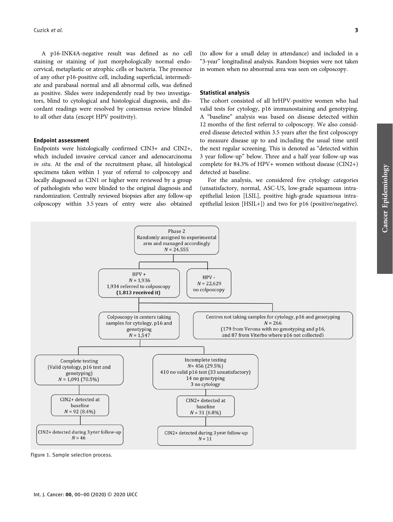A p16-INK4A-negative result was defined as no cell staining or staining of just morphologically normal endocervical, metaplastic or atrophic cells or bacteria. The presence of any other p16-positive cell, including superficial, intermediate and parabasal normal and all abnormal cells, was defined as positive. Slides were independently read by two investigators, blind to cytological and histological diagnosis, and discordant readings were resolved by consensus review blinded to all other data (except HPV positivity).

#### Endpoint assessment

Endpoints were histologically confirmed CIN3+ and CIN2+, which included invasive cervical cancer and adenocarcinoma in situ. At the end of the recruitment phase, all histological specimens taken within 1 year of referral to colposcopy and locally diagnosed as CIN1 or higher were reviewed by a group of pathologists who were blinded to the original diagnosis and randomization. Centrally reviewed biopsies after any follow-up colposcopy within 3.5 years of entry were also obtained

(to allow for a small delay in attendance) and included in a "3-year" longitudinal analysis. Random biopsies were not taken in women when no abnormal area was seen on colposcopy.

#### Statistical analysis

The cohort consisted of all hrHPV-positive women who had valid tests for cytology, p16 immunostaining and genotyping. A "baseline" analysis was based on disease detected within 12 months of the first referral to colposcopy. We also considered disease detected within 3.5 years after the first colposcopy to measure disease up to and including the usual time until the next regular screening. This is denoted as "detected within 3 year follow-up" below. Three and a half year follow-up was complete for 84.3% of HPV+ women without disease (CIN2+) detected at baseline.

For the analysis, we considered five cytology categories (unsatisfactory, normal, ASC-US, low-grade squamous intraepithelial lesion [LSIL], positive high-grade squamous intraepithelial lesion [HSIL+]) and two for p16 (positive/negative).



Figure 1. Sample selection process.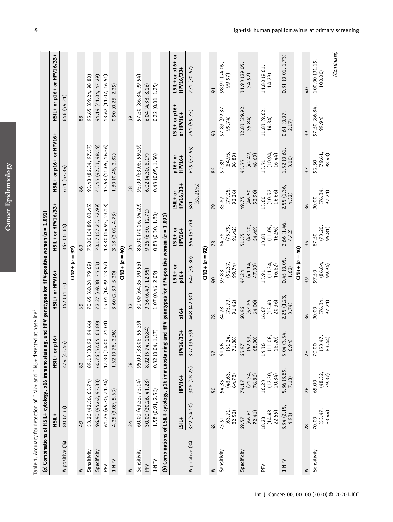**ASC** 

|                                                                              |                                                                                                              | HSIL+                 |  |
|------------------------------------------------------------------------------|--------------------------------------------------------------------------------------------------------------|-----------------------|--|
|                                                                              |                                                                                                              | $HSIL + or HPV16/33+$ |  |
|                                                                              |                                                                                                              | HSIL+ or HPV16+       |  |
|                                                                              |                                                                                                              | HSIL+ or p16+         |  |
| Table 1. Accuracy for detection of CIN2+ and CIN3+ detected at baseline $^1$ | (a) Combinations of HSIL+ cytology, p16 immunostaining, and HPV genotypes for HPV-positive women (n = 1,091) | $\frac{1}{2}$         |  |

|                |                            |                            | (a) Combinations of HSLL+ cytology, p16 immunostaining, and HPV genotypes for HPV-positive women (n = 1,091) |                            |                            |                            |                             |                            |                                  |                                      |
|----------------|----------------------------|----------------------------|--------------------------------------------------------------------------------------------------------------|----------------------------|----------------------------|----------------------------|-----------------------------|----------------------------|----------------------------------|--------------------------------------|
|                | HSIL+                      |                            | HSIL+ or p16+                                                                                                | HSIL+ or HPV16+            |                            | HSIL+ or HPV16/33+         |                             | HSIL+ or p16+ or HPV16+    |                                  | HSIL+ or p16+ or HPV16/33+           |
| N positive (%) | 80 (7.33)                  |                            | 474 (43.45)                                                                                                  | 342 (31.35)                |                            | 367 (33.64)                |                             | 631 (57.84)                | 646 (59.21)                      |                                      |
|                |                            |                            |                                                                                                              |                            | $CIN2 + (n = 92)$          |                            |                             |                            |                                  |                                      |
| $\geq$         | 49                         | 82                         |                                                                                                              | 65                         |                            | 69                         | 86                          |                            | 88                               |                                      |
| Sensitivity    | 53.26 (42.56, 63.74)       |                            | 89.13 (80.92, 94.66)                                                                                         |                            | 70.65 (60.24, 79.69)       | 75.00 (64.89, 83.45)       |                             | 93.48 (86.34, 97.57)       |                                  | 95.65 (89.24, 98.80)                 |
| Specificity    | 96.90 (95.62, 97.88)       |                            | 60.76 (57.65, 63.80)                                                                                         |                            | 72.27 (69.38, 75.03)       | 70.17 (67.23, 72.99)       |                             | 45.45 (42.33, 48.59)       |                                  | 44.14 (41.04, 47.29)                 |
| $\geq$         | 61.25 (49.70, 71.94)       |                            | 17.30 (14.00, 21.01)                                                                                         |                            | 19.01 (14.99, 23.57)       | 18.80 (14.93, 23.18)       |                             | 13.63 (11.05, 16.56)       |                                  | 13.62 (11.07, 16.51)                 |
| 1-NPV          | 4.25 (3.09, 5.69)          |                            | 1.62 (0.78, 2.96)                                                                                            | 3.60 (2.39, 5.20)          |                            | 3.18 (2.02, 4.73)          |                             | 1.30 (0.48, 2.82)          | 0.90(0.25, 2.29)                 |                                      |
|                |                            |                            |                                                                                                              |                            | $C1N3 + (n = 40)$          |                            |                             |                            |                                  |                                      |
| 2              | 24                         | 38                         |                                                                                                              | 32                         |                            | 34                         | 38                          |                            | 39                               |                                      |
| Sensitivity    | 60.00 (43.33, 75.14)       |                            | 95.00 (83.08, 99.39)                                                                                         |                            | 80.00 (64.35, 90.95)       | 85.00 (70.16, 94.29)       |                             | 95.00 (83.08, 99.39)       |                                  | 97.50 (86.84, 99.94)                 |
| $\geq$         | 30.00 (20.26, 41.28)       |                            | 8.02 (5.74, 10.84)                                                                                           | 9.36 (6.49, 12.95)         |                            | 9.26 (6.50, 12.71)         |                             | 6.02(4.30, 8.17)           | 6.04(4.33, 8.16)                 |                                      |
| 1-NPV          | 1.58 (0.91, 2.56)          |                            | 0.32(0.04, 1.17)                                                                                             | 1.07 (0.46, 2.09)          |                            | 0.83(0.30, 1.80)           |                             | 0.43(0.05, 1.56)           | 0.22(0.01, 1.25)                 |                                      |
|                |                            |                            | (b) Combinations of LSIL+ cytology, p16 immunostaining and HPV genotypes for HPV-positive women (n = 1,091)  |                            |                            |                            |                             |                            |                                  |                                      |
|                | LSIL+                      | HPV16+                     | HPV16/33+                                                                                                    | p16+                       | $151 + or$<br>p16+         | <b>ISIL+ or</b><br>HPV16+  | HPV16/33+<br><b>10+1IS1</b> | HPV16+<br>p16+ or          | <b>1974 or p16+</b><br>or HPV16+ | <b>USIL+ or p16+ or</b><br>HPV16/33+ |
| N positive (%) | 372 (34.10)                | 308 (28.23)                | (36.39)<br>397                                                                                               | 468 (42.90)                | 647 (59.30)                | 564 (51.70)                | $(53.25\%)$<br>581          | 629 (57.65)                | 761 (69.75)                      | 771 (70.67)                          |
|                |                            |                            |                                                                                                              |                            | $CIN2 + (n = 92)$          |                            |                             |                            |                                  |                                      |
| 2              | 68                         | 50                         | 57                                                                                                           | $\frac{8}{2}$              | 8                          | 78                         | 79                          | 85                         | 90                               | 91                                   |
| Sensitivity    | (63.71,<br>82.52)<br>73.91 | (43.63,<br>64.78)<br>54.35 | (51.24,<br>88)<br>61.96<br>71.                                                                               | (75.79,<br>91.42)<br>84.78 | (92.37,<br>99.74)<br>97.83 | (75.79,<br>91.42)<br>84.78 | (77.05,<br>92.26)<br>85.87  | (84.95,<br>96.89)<br>92.39 | 97.83 (92.37,<br>99.74)          | 98.91 (94.09,<br>99.97)              |
| Specificity    | (66.61,<br>72.41)<br>69.57 | (71.34,<br>76.86)<br>74.17 | (62.93,<br>68.90)<br>65.97                                                                                   | (57.86,<br>64.00)<br>60.96 | (41.14,<br>47.39)<br>44.24 | (48.20,<br>54.49)<br>51.35 | (46.60,<br>52.90)<br>49.75  | (42.42,<br>48.69)<br>45.55 | 32.83 (29.92,<br>35.84)          | 31.93 (29.05,<br>34.92)              |
| $\geq$         | (14.48, 22.59)<br>18.28    | (12.30,<br>20.84)<br>16.23 | (11.06,<br>18.20)<br>14.36                                                                                   | (13.40,<br>20.36)<br>16.67 | (11.34,<br>16.82)<br>13.91 | (11.09,<br>16.96)<br>13.83 | (10.92,<br>16.66)<br>13.60  | (10.94,<br>16.44)<br>13.51 | 11.83 (9.62,<br>14.34            | 11.80 (9.61,<br>14.29                |
| $1-NPV$        | 3.34 (2.15,<br>4.93)       | 5.36 (3.89, 7.18)          | $5.04$ (3.54, 6.94)                                                                                          | 2.25 (1.23,<br>3.74)       | 0.45 (0.05,<br>1.62        | 2.66(1.46, 4.42)           | 2.55 (1.36,<br>4.32)        | 1.52 (0.61,<br>3.10        | 0.61 (0.07,<br>2.17              | 0.31(0.01, 1.73)                     |
|                |                            |                            |                                                                                                              |                            | $(1N3 + (n = 40))$         |                            |                             |                            |                                  |                                      |
| $\geq$         | 28                         | 26                         | 28                                                                                                           | 36                         | 39                         | 35                         | 36                          | 37                         | 39                               | $\overline{0}$                       |
| Sensitivity    | (53.47, 83.44)<br>70.00    | (48.32, 79.37)<br>65.00    | 70.00<br>(53.47,<br>83.44)                                                                                   | (76.34,<br>97.21)<br>90.00 | (86.84,<br>99.94)<br>97.50 | (73.20,<br>95.81)<br>87.50 | (76.34,<br>97.21)<br>90.00  | (79.61)<br>98.43)<br>92.50 | 97.50 (86.84,<br>99.94)          | 100.00 (91.19,<br>100.00)            |

(Continues) (Continues)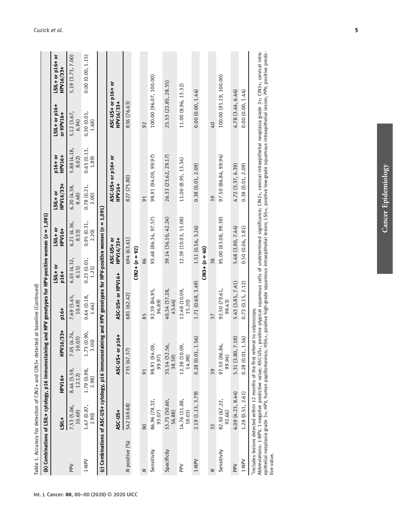| Table 1. Accuracy for detection of CIN2+ and CIN3+ detected at baseline (Continued)                                                                         |                         |                      |                         |                         |                      |                                                                                                               |                              |                          |                                 |                                                                                                                                           |
|-------------------------------------------------------------------------------------------------------------------------------------------------------------|-------------------------|----------------------|-------------------------|-------------------------|----------------------|---------------------------------------------------------------------------------------------------------------|------------------------------|--------------------------|---------------------------------|-------------------------------------------------------------------------------------------------------------------------------------------|
|                                                                                                                                                             |                         |                      |                         |                         |                      | (b) Combinations of LSIL+ cytology, p16 immunostaining and HPV genotypes for HPV-positive women (n = 1,091)   |                              |                          |                                 |                                                                                                                                           |
|                                                                                                                                                             | LSIL+                   | HPV16+               | $16/33+$<br>HPV1        | p16+                    | 10+1IS1<br>p16+      | $151 + or$<br>HPV16+                                                                                          | HPV16/33+<br><b>10+1IST</b>  | <b>HPV16+</b><br>p16+ or | LSIL+ or p16+<br>or HPV16+      | LSIL+ or p16+ or<br>HPV16/33+                                                                                                             |
| PPV                                                                                                                                                         | 7.53 (5.06,<br>10.69)   | 8.44(5.59, 12.12)    | 7.05 $(4.74, 10.03)$    | 7.69 (5.45,<br>10.49    | 6.03 (4.32,<br>8.15) | 6.21 (4.36,<br>8.53)                                                                                          | 6.20 (4.38,<br>8.48)         | 5.88 (4.18,<br>8.02)     | 5.12 (3.67,<br>6.94             | 5.19 (3.73, 7.00)                                                                                                                         |
| 1-NPV                                                                                                                                                       | 1.67 (0.87,<br>2.90)    | 1.79 (0.98,<br>2.98) | 1.73 (0.90,<br>3.00     | 0.64(0.18,<br>1.64      | 0.23(0.01,<br>1.25   | 0.95 (0.31,<br>2.20)                                                                                          | 0.78(0.21,<br>2.00)          | 0.65(0.13,<br>1.89       | 0.30(0.01,<br>1.68              | 0.00(0.00, 1.15)                                                                                                                          |
|                                                                                                                                                             |                         |                      |                         |                         |                      | (c) Combinations of ASC-US+ cytology, p16 immunostaining and HPV genotypes for HPV-positive women (n = 1,091) |                              |                          |                                 |                                                                                                                                           |
|                                                                                                                                                             | <b>ASC-US+</b>          |                      | ASC-US+ or p16+         | ASC-US+ or HPV16+       |                      | HPV16/33+<br>ASC-US+ or                                                                                       | ASC-US+ or p16+ or<br>HPV16+ |                          | ASC-US+ or p16+ or<br>HPV16/33+ |                                                                                                                                           |
| N positive (%)                                                                                                                                              | 542 (49.68)             |                      | 735 (67.37)             | 681 (62.42)             |                      | 694 (63.61)                                                                                                   | 827 (75.80)                  |                          | 836 (76.63)                     |                                                                                                                                           |
|                                                                                                                                                             |                         |                      |                         |                         | $CIN2 + (n = 92)$    |                                                                                                               |                              |                          |                                 |                                                                                                                                           |
| 2                                                                                                                                                           | 80                      | 91                   |                         | 85                      | 86                   |                                                                                                               | $\overline{91}$              |                          | 92                              |                                                                                                                                           |
| Sensitivity                                                                                                                                                 | 86.96 (78.32,<br>93.07) |                      | 98.91 (94.09,<br>99.97) | 92.39 (84.95,<br>96.89  |                      | 93.48 (86.34, 97.57)                                                                                          | 98.91 (94.09, 99.97)         |                          | 100.00 (96.07, 100.00)          |                                                                                                                                           |
| Specificity                                                                                                                                                 | 53.75 (50.60,<br>56.88) |                      | 35.54 (32.56,<br>38.59) | 40.34 (37.28,<br>43.46) |                      | 39.14 (36.10, 42.24)                                                                                          | 26.33 (23.62, 29.17)         |                          | 25.53 (22.85, 28.35)            |                                                                                                                                           |
| $_{\rm{pe}}^{\rm{2}}$                                                                                                                                       | 14.76 (11.88,<br>18.03) |                      | 12.38 (10.09<br>14.98)  | 12.48 (10.09,<br>15.20) |                      | 12.39 (10.03, 15.08)                                                                                          | 11.00(8.95, 13.34)           |                          | 11.00 (8.96, 13.32)             |                                                                                                                                           |
| 1-NPV                                                                                                                                                       | 2.19 (1.13, 3.79)       |                      | .56<br>0.28(0.01, 1     | 1.71 (0.69, 3.49)       |                      | 1.51 (0.56, 3.26)                                                                                             | 0.38(0.01, 2.09)             |                          | 0.00(0.00, 1.44)                |                                                                                                                                           |
|                                                                                                                                                             |                         |                      |                         |                         | $(1N3 + (n = 40))$   |                                                                                                               |                              |                          |                                 |                                                                                                                                           |
| 2                                                                                                                                                           | 33                      | 39                   |                         | 37                      | 38                   |                                                                                                               | 39                           |                          | $\overline{0}$                  |                                                                                                                                           |
| Sensitivity                                                                                                                                                 | 82.50 (67.22,<br>92.66) |                      | 97.50 (86.84,<br>99.94) | 92.50 (79.61,<br>98.43) |                      | 95.00 (83.08, 99.39)                                                                                          | 97.50 (86.84, 99.94)         |                          | 100.00 (91.19, 100.00)          |                                                                                                                                           |
| Ndd                                                                                                                                                         | 6.09(4.23, 8.44)        |                      | (81.<br>5.31 (3.80, 7   | 5.43 (3.85, 7.41)       |                      | 5.48 (3.90, 7.44)                                                                                             | 4.72 (3.37, 6.39)            |                          | 4.78 (3.44, 6.46)               |                                                                                                                                           |
| $V-1$                                                                                                                                                       | 1.28(0.51, 2.61)        |                      | .56)<br>0.28(0.01, 1    | 0.73(0.15, 2.12)        |                      | 0.50(0.06, 1.81)                                                                                              | 0.38(0.01, 2.09)             |                          | 0.00(0.00, 1.44)                |                                                                                                                                           |
| <sup>1</sup> Includes lesions detected within 12 months of the first referral to colposcopy.<br>Abbreviations: 1-NPV, 1-negative predictive value; ASC-US+, |                         |                      |                         |                         |                      |                                                                                                               |                              |                          |                                 | positive atypical squamous cells of undetermined significance; CIN2+, cervical intraepithelial neoplasia grade 2+; CIN3+, cervical intra- |

Abbreviations: 1-NPV, 1-negative predictive value; ASC-US+, positive atypical squamous cells of undetermined significance; CIN2+, cervical intraepithelial neoplasia grade 2+; CIN3+, cervical intrae<br>epithelial neoplasia gra epithelial neoplasia grade 3+; HPV, human papillomavirus; HSIL+, positive high-grade squamous intraepithelial lesion; LSIL+, positive low-grade squamous intraepithelial lesion; PPV, positive predictive value.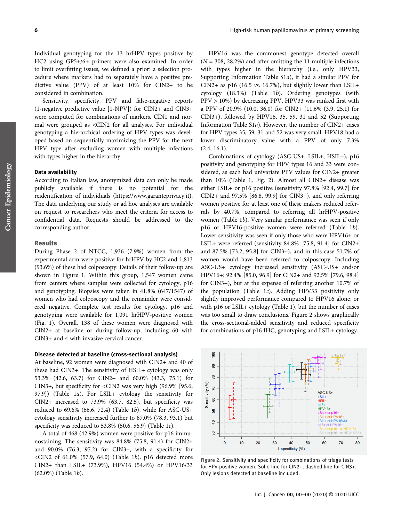Individual genotyping for the 13 hrHPV types positive by HC2 using GP5+/6+ primers were also examined. In order to limit overfitting issues, we defined a priori a selection procedure where markers had to separately have a positive predictive value (PPV) of at least 10% for CIN2+ to be considered in combination.

Sensitivity, specificity, PPV and false-negative reports (1-negative predictive value [1-NPV]) for CIN2+ and CIN3+ were computed for combinations of markers. CIN1 and normal were grouped as <CIN2 for all analyses. For individual genotyping a hierarchical ordering of HPV types was developed based on sequentially maximizing the PPV for the next HPV type after excluding women with multiple infections with types higher in the hierarchy.

## Data availability

According to Italian law, anonymized data can only be made publicly available if there is no potential for the reidentification of individuals ([https://www.garanteprivacy.it\)](https://www.garanteprivacy.it). The data underlying our study or ad hoc analyses are available on request to researchers who meet the criteria for access to confidential data. Requests should be addressed to the corresponding author.

#### Results

During Phase 2 of NTCC, 1,936 (7.9%) women from the experimental arm were positive for hrHPV by HC2 and 1,813 (93.6%) of these had colposcopy. Details of their follow-up are shown in Figure 1. Within this group, 1,547 women came from centers where samples were collected for cytology, p16 and genotyping. Biopsies were taken in 41.8% (647/1547) of women who had colposcopy and the remainder were considered negative. Complete test results for cytology, p16 and genotyping were available for 1,091 hrHPV-positive women (Fig. 1). Overall, 138 of these women were diagnosed with CIN2+ at baseline or during follow-up, including 60 with CIN3+ and 4 with invasive cervical cancer.

#### Disease detected at baseline (cross-sectional analysis)

At baseline, 92 women were diagnosed with CIN2+ and 40 of these had CIN3+. The sensitivity of HSIL+ cytology was only 53.3% (42.6, 63.7) for CIN2+ and 60.0% (43.3, 75.1) for CIN3+, but specificity for  $\langle$ CIN2 was very high (96.9% [95.6, 97.9]) (Table 1a). For LSIL+ cytology the sensitivity for CIN2+ increased to  $73.9\%$  (63.7, 82.5), but specificity was reduced to 69.6% (66.6, 72.4) (Table 1b), while for ASC-US+ cytology sensitivity increased further to 87.0% (78.3, 93.1) but specificity was reduced to 53.8% (50.6, 56.9) (Table 1 $c$ ).

A total of 468 (42.9%) women were positive for p16 immunostaining. The sensitivity was 84.8% (75.8, 91.4) for CIN2+ and 90.0% (76.3, 97.2) for CIN3+, with a specificity for  $\langle$ CIN2 of 61.0% (57.9, 64.0) (Table 1b). p16 detected more CIN2+ than LSIL+ (73.9%), HPV16 (54.4%) or HPV16/33 (62.0%) (Table 1b).

HPV16 was the commonest genotype detected overall  $(N = 308, 28.2%)$  and after omitting the 11 multiple infections with types higher in the hierarchy (i.e., only HPV33, Supporting Information Table S1a), it had a similar PPV for CIN2+ as p16 (16.5  $\nu$ s. 16.7%), but slightly lower than LSIL+ cytology (18.3%) (Table 1b). Ordering genotypes (with PPV > 10%) by decreasing PPV, HPV33 was ranked first with a PPV of 20.9% (10.0, 36.0) for CIN2+ (11.6% (3.9, 25.1) for CIN3+), followed by HPV16, 35, 59, 31 and 52 (Supporting Information Table S1a). However, the number of CIN2+ cases for HPV types 35, 59, 31 and 52 was very small. HPV18 had a lower discriminatory value with a PPV of only 7.3%  $(2.4, 16.1).$ 

Combinations of cytology (ASC-US+, LSIL+, HSIL+), p16 positivity and genotyping for HPV types 16 and 33 were considered, as each had univariate PPV values for CIN2+ greater than 10% (Table 1, Fig. 2). Almost all CIN2+ disease was either LSIL+ or p16 positive (sensitivity 97.8% [92.4, 99.7] for CIN2+ and 97.5% [86.8, 99.9] for CIN3+), and only referring women positive for at least one of these makers reduced referrals by 40.7%, compared to referring all hrHPV-positive women (Table 1b). Very similar performance was seen if only p16 or HPV16-positive women were referred (Table 1b). Lower sensitivity was seen if only those who were HPV16+ or LSIL+ were referred (sensitivity 84.8% [75.8, 91.4] for CIN2+ and 87.5% [73.2, 95.8] for CIN3+), and in this case 51.7% of women would have been referred to colposcopy. Including ASC-US+ cytology increased sensitivity (ASC-US+ and/or HPV16+: 92.4% [85.0, 96.9] for CIN2+ and 92.5% [79.6, 98.4] for CIN3+), but at the expense of referring another 10.7% of the population (Table 1c). Adding HPV33 positivity only slightly improved performance compared to HPV16 alone, or with p16 or LSIL+ cytology (Table 1), but the number of cases was too small to draw conclusions. Figure 2 shows graphically the cross-sectional-added sensitivity and reduced specificity for combinations of p16 IHC, genotyping and LSIL+ cytology.



Figure 2. Sensitivity and specificity for combinations of triage tests for HPV-positive women. Solid line for CIN2+, dashed line for CIN3+. Only lesions detected at baseline included.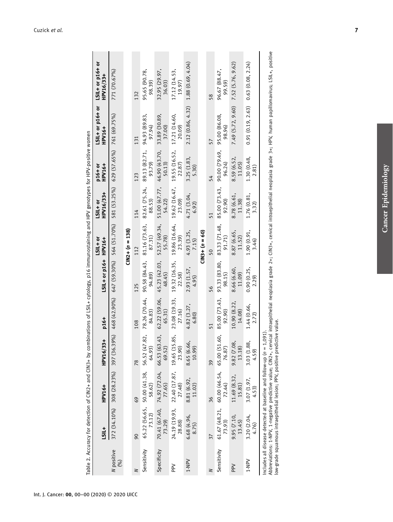|                   | <b>LSIL+</b>                                                            | HPV16+                                              | HPV16/33+                                           | p16+                                                | LSIL+ or p16+           | $51 + 01$<br><b>HPV16+</b> | HPV16/33+<br><b>19 + 11S1</b>             | <b>HPV16+</b><br>p16+ or  | LSIL+ or p16+ or<br><b>HPV16+</b>     | LSIL+ or p16+ or<br>HPV16/33+                                                                                                                                                                         |
|-------------------|-------------------------------------------------------------------------|-----------------------------------------------------|-----------------------------------------------------|-----------------------------------------------------|-------------------------|----------------------------|-------------------------------------------|---------------------------|---------------------------------------|-------------------------------------------------------------------------------------------------------------------------------------------------------------------------------------------------------|
| N positive<br>(%) |                                                                         |                                                     |                                                     | 372 (34.10%) 308 (28.23%) 397 (36.39%) 468 (42.90%) |                         |                            | $647 (59.30\%)$ 564 (51.70%) 581 (53.25%) | 629 (57.65%) 761 (69.75%) |                                       | 771 (70.67%)                                                                                                                                                                                          |
|                   |                                                                         |                                                     |                                                     |                                                     |                         | $C1N2 + (n = 138)$         |                                           |                           |                                       |                                                                                                                                                                                                       |
|                   | $\infty$                                                                | 69                                                  | $\frac{8}{2}$                                       | 108                                                 | 125                     | 112                        | 114                                       | 123                       | 131                                   | 132                                                                                                                                                                                                   |
| Sensitivity       | 73.12)                                                                  | 58.62)                                              | 65.22 (56.65, 50.00 (41.38, 56.52 (47.82,<br>64.93) | 78.26 (70.44,<br>84.83                              | 90.58 (84.43,<br>94.89) | 81.16 (73.63,<br>87.31)    | 82.61 (75.24,<br>88.53)                   | 89.13 (82.71,<br>93.79)   | 94.93 (89.83,<br>97.94)               | 95.65 (90.78,<br>98.39)                                                                                                                                                                               |
| Specificity       | 73.29)                                                                  | 70.41 (67.40, 74.92 (72.04, 66.53 (63.43,<br>77.65) | 69.52)                                              | 62.22 (59.06,<br>65.31                              | 45.23 (42.03,<br>48.45) | 52.57 (49.34,<br>55.78)    | 51.00 (47.77,<br>54.22)                   | 46.90 (43.70,<br>50.13)   | 33.89 (30.89,<br>37.00)               | 32.95 (29.97,<br>36.03)                                                                                                                                                                               |
| Ndd<br>H          | 28.88)                                                                  | 24.19 (19.93, 22.40 (17.87, 19.65 (15.85,<br>27.48) | 23.90)                                              | 23.08 (19.33,<br>27.16)                             | 19.32 (16.35,<br>22.58) | 19.86 (16.64,<br>23.39)    | 19.62 (16.47,<br>23.09)                   | 19.55 (16.52,<br>22.87)   | 17.21 (14.60,<br>20.09)               | 17.12 (14.53,<br>19.97)                                                                                                                                                                               |
| $V-1$             | 6.68 (4.96,<br>8.75)                                                    | 8.81 (6.92,<br>11.02)                               | 8.65 (6.66,<br>10.99                                | 4.82 (3.27,<br>6.80                                 | 2.93 (1.57,<br>4.95)    | 4.93 (3.25,<br>7.15)       | 4.71 (3.04,<br>6.92                       | 3.25 (1.83,<br>5.30)      | 2.12 (0.86, 4.32)                     | 1.88(0.69, 4.04)                                                                                                                                                                                      |
|                   |                                                                         |                                                     |                                                     |                                                     |                         | $C1N3 + (n = 60)$          |                                           |                           |                                       |                                                                                                                                                                                                       |
| 2                 | 37                                                                      | 36                                                  | 39                                                  | 51                                                  | 56                      | 50                         | 51                                        | 54                        | 57                                    | 58                                                                                                                                                                                                    |
| Sensitivity       |                                                                         |                                                     | 61.67 (48.21, 60.00 (46.54, 65.00 (51.60, 73.93)    | 85.00 (73.43,<br>92.90)                             | 93.33 (83.80,<br>98.15) | 83.33 (71.48,<br>91.71)    | 85.00 (73.43,<br>92.90)                   | 90.00 (79.49,<br>96.24)   | 95.00 (86.08,<br>98.96                | 96.67 (88.47,<br>99.59)                                                                                                                                                                               |
| <b>PPV</b>        | 9.95(7.10, 13.45)                                                       | 11.69 (8.32,<br>15.81)                              | o∕.<br>$9.82(7.08)$<br>13.18)                       | 10.90 (8.22,<br>14.08)                              | 8.66 (6.60,<br>11.09)   | 8.87 (6.65,<br>11.52)      | 8.78 (6.61,<br>11.38)                     | 8.59 (6.52,<br>11.05      | 7.49 (5.72, 9.60)                     | 7.52 (5.76, 9.62)                                                                                                                                                                                     |
| 1-NPV             | 3.20(2.04, 4.76)                                                        | 3.07(1.97,<br>4.53)                                 | 3.03 (1.88,<br>4.59)                                | 1.44 (0.66,<br>2.72)                                | 0.90 (0.25,<br>2.29)    | 1.90 (0.91,<br>3.46)       | 1.76 (0.81,<br>3.32)                      | 1.30 (0.48,<br>2.81)      | $0.91(0.19, 2.63)$ $0.63(0.08, 2.24)$ |                                                                                                                                                                                                       |
|                   | includes all disease detected at baseline and follow-up $(n = 1,091)$ . |                                                     |                                                     |                                                     |                         |                            |                                           |                           |                                       | Abbreviations: 1-NPV, 1-negative predictive value; CIN2+, cervical intraepithelial neoplasia grade 2+; CIN3+, cervical intraepithelial neoplasia grade 3+; HPV, human papillomavirus; LSIL+, positive |

Table 2. Accuracy for detection of CIN2+ and CIN3+ by combinations of LSIL+ cytology, p16 immunostaining and HPV genotypes for HPV-positive women Table 2. Accuracy for detection of CIN2+ and CIN3+ by combinations of LSIL+ cytology, p16 immunostaining and HPV genotypes for HPV-positive women

 $\mathbf{e}$ Abbreviations: 1-NPV, 1-negative predictive value; CIN2+, cervical intraepithelial neoplasia grade 2+; CIN3+, cervical intraepithelial neoplasia grade 3+; HPV, human papillomavirus; LSIL+, positive low-grade squamous intraepithelial lesion; PPV, positive predictive value. low-grade squamous intraepithelial lesion; PPV, positive predictive value.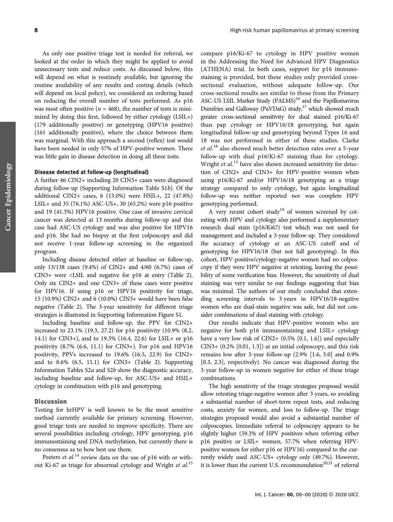As only one positive triage test is needed for referral, we looked at the order in which they might be applied to avoid unnecessary tests and reduce costs. As discussed below, this will depend on what is routinely available, but ignoring the routine availability of any results and costing details (which will depend on local policy), we considered an ordering based on reducing the overall number of tests performed. As p16 was most often positive ( $n = 468$ ), the number of tests is minimized by doing this first, followed by either cytology (LSIL+) (179 additionally positive) or genotyping (HPV16 positive) (161 additionally positive), where the choice between them was marginal. With this approach a second (reflex) test would have been needed in only 57% of HPV-positive women. There was little gain in disease detection in doing all three tests.

## Disease detected at follow-up (longitudinal)

A further 46 CIN2+ including 20 CIN3+ cases were diagnosed during follow-up (Supporting Information Table S1b). Of the additional CIN2+ cases, 6 (13.0%) were HSIL+, 22 (47.8%) LSIL+ and 35 (76.1%) ASC-US+, 30 (65.2%) were p16 positive and 19 (41.3%) HPV16 positive. One case of invasive cervical cancer was detected at 13 months during follow-up and this case had ASC-US cytology and was also positive for HPV16 and p16. She had no biopsy at the first colposcopy and did not receive 1-year follow-up screening in the organized program.

Including disease detected either at baseline or follow-up, only 13/138 cases (9.4%) of CIN2+ and 4/60 (6.7%) cases of CIN3+ were <LSIL and negative for p16 at entry (Table 2). Only six CIN2+ and one CIN3+ of these cases were positive for HPV16. If using p16 or HPV16 positivity for triage, 15 (10.9%) CIN2+ and 6 (10.0%) CIN3+ would have been false negative (Table 2). The 3-year sensitivity for different triage strategies is illustrated in Supporting Information Figure S1.

Including baseline and follow-up, the PPV for CIN2+ increased to 23.1% (19.3, 27.2) for p16 positivity (10.9% (8.2, 14.1) for CIN3+), and to 19.3% (16.4, 22.6) for LSIL+ or p16 positivity (8.7% (6.6, 11.1) for CIN3+). For p16 and HPV16 positivity, PPVs increased to 19.6% (16.5, 22.9) for CIN2+ and to 8.6% (6.5, 11.1) for CIN3+ (Table 2). Supporting Information Tables S2a and S2b show the diagnostic accuracy, including baseline and follow-up, for ASC-US+ and HSIL+ cytology in combination with p16 and genotyping.

#### **Discussion**

Testing for hrHPV is well known to be the most sensitive method currently available for primary screening. However, good triage tests are needed to improve specificity. There are several possibilities including cytology, HPV genotyping, p16 immunostaining and DNA methylation, but currently there is no consensus as to how best use them.

Peeters et al.<sup>14</sup> review data on the use of p16 with or without Ki-67 as triage for abnormal cytology and Wright et al.<sup>15</sup> compare p16/Ki-67 to cytology in HPV positive women in the Addressing the Need for Advanced HPV Diagnostics (ATHENA) trial. In both cases, support for p16 immunostaining is provided, but these studies only provided crosssectional evaluation, without adequate follow-up. Our cross-sectional results are similar to those from the Primary ASC-US LSIL Marker Study (PALMS)<sup>16</sup> and the Papillomavirus Dumfries and Galloway (PaVDaG) study,<sup>17</sup> which showed much greater cross-sectional sensitivity for dual stained p16/Ki-67 than pap cytology or HPV16/18 genotyping, but again longitudinal follow-up and genotyping beyond Types 16 and 18 was not performed in either of these studies. Clarke et al.<sup>18</sup> also showed much better detection rates over a 5-year follow-up with dual p16/Ki-67 staining than for cytology. Wright et al.<sup>15</sup> have also shown increased sensitivity for detection of CIN2+ and CIN3+ for HPV-positive women when using p16/Ki-67 and/or HPV16/18 genotyping as a triage strategy compared to only cytology, but again longitudinal follow-up was neither reported nor was complete HPV genotyping performed.

A very recent cohort  $study<sup>19</sup>$  of women screened by cotesting with HPV and cytology also performed a supplementary research dual stain (p16/Ki67) test which was not used for management and included a 3-year follow-up. They considered the accuracy of cytology at an ASC-US cutoff and of genotyping for HPV16/18 (but not full genotyping). In this cohort, HPV-positive/cytology-negative women had no colposcopy if they were HPV negative at retesting, leaving the possibility of some verification bias. However, the sensitivity of dual staining was very similar to our findings suggesting that bias was minimal. The authors of our study concluded that extending screening intervals to 3 years in HPV16/18-negative women who are dual-stain negative was safe, but did not consider combinations of dual staining with cytology.

Our results indicate that HPV-positive women who are negative for both p16 immunostaining and LSIL+ cytology have a very low risk of CIN2+ (0.5% [0.1, 1.6]) and especially  $CIN3+ (0.2\% [0.01, 1.3])$  at an initial colposcopy, and this risk remains low after 3-year follow-up (2.9% [1.6, 5.0] and 0.9% [0.3, 2.3], respectively). No cancer was diagnosed during the 3-year follow-up in women negative for either of these triage combinations.

The high sensitivity of the triage strategies proposed would allow retesting triage-negative women after 3 years, so avoiding a substantial number of short-term repeat tests, and reducing costs, anxiety for women, and loss to follow-up. The triage strategies proposed would also avoid a substantial number of colposcopies. Immediate referral to colposcopy appears to be slightly higher (59.3% of HPV positives when referring either p16 positive or LSIL+ women, 57.7% when referring HPVpositive women for either p16 or HPV16) compared to the currently widely used ASC-US+ cytology only (49.7%). However, it is lower than the current U.S. recommendation<sup>20,21</sup> of referral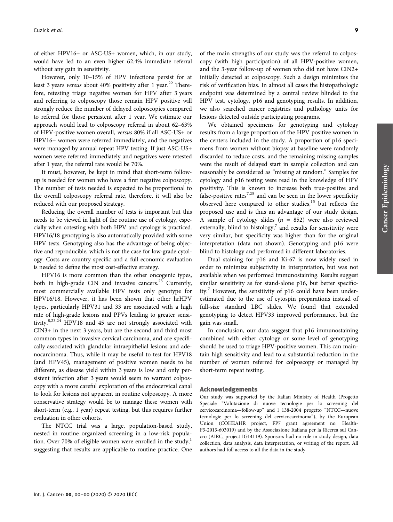of either HPV16+ or ASC-US+ women, which, in our study, would have led to an even higher 62.4% immediate referral without any gain in sensitivity.

However, only 10–15% of HPV infections persist for at least 3 years versus about 40% positivity after 1 year.<sup>22</sup> Therefore, retesting triage negative women for HPV after 3 years and referring to colposcopy those remain HPV positive will strongly reduce the number of delayed colposcopies compared to referral for those persistent after 1 year. We estimate our approach would lead to colposcopy referral in about 62–63% of HPV-positive women overall, versus 80% if all ASC-US+ or HPV16+ women were referred immediately, and the negatives were managed by annual repeat HPV testing. If just ASC-US+ women were referred immediately and negatives were retested after 1 year, the referral rate would be 70%.

It must, however, be kept in mind that short-term followup is needed for women who have a first negative colposcopy. The number of tests needed is expected to be proportional to the overall colposcopy referral rate, therefore, it will also be reduced with our proposed strategy.

Reducing the overall number of tests is important but this needs to be viewed in light of the routine use of cytology, especially when cotesting with both HPV and cytology is practiced. HPV16/18 genotyping is also automatically provided with some HPV tests. Genotyping also has the advantage of being objective and reproducible, which is not the case for low-grade cytology. Costs are country specific and a full economic evaluation is needed to define the most cost-effective strategy.

HPV16 is more common than the other oncogenic types, both in high-grade CIN and invasive cancers.<sup>23</sup> Currently, most commercially available HPV tests only genotype for HPV16/18. However, it has been shown that other hrHPV types, particularly HPV31 and 33 are associated with a high rate of high-grade lesions and PPVs leading to greater sensitivity.8,23,24 HPV18 and 45 are not strongly associated with CIN3+ in the next 3 years, but are the second and third most common types in invasive cervical carcinoma, and are specifically associated with glandular intraepithelial lesions and adenocarcinoma. Thus, while it may be useful to test for HPV18 (and HPV45), management of positive women needs to be different, as disease yield within 3 years is low and only persistent infection after 3 years would seem to warrant colposcopy with a more careful exploration of the endocervical canal to look for lesions not apparent in routine colposcopy. A more conservative strategy would be to manage these women with short-term (e.g., 1 year) repeat testing, but this requires further evaluation in other cohorts.

The NTCC trial was a large, population-based study, nested in routine organized screening in a low-risk population. Over 70% of eligible women were enrolled in the study, $<sup>1</sup>$ </sup> suggesting that results are applicable to routine practice. One

of the main strengths of our study was the referral to colposcopy (with high participation) of all HPV-positive women, and the 3-year follow-up of women who did not have CIN2+ initially detected at colposcopy. Such a design minimizes the risk of verification bias. In almost all cases the histopathologic endpoint was determined by a central review blinded to the HPV test, cytology, p16 and genotyping results. In addition, we also searched cancer registries and pathology units for lesions detected outside participating programs.

We obtained specimens for genotyping and cytology results from a large proportion of the HPV positive women in the centers included in the study. A proportion of p16 specimens from women without biopsy at baseline were randomly discarded to reduce costs, and the remaining missing samples were the result of delayed start in sample collection and can reasonably be considered as "missing at random." Samples for cytology and p16 testing were read in the knowledge of HPV positivity. This is known to increase both true-positive and false-positive rates<sup>7,25</sup> and can be seen in the lower specificity observed here compared to other studies, $15$  but reflects the proposed use and is thus an advantage of our study design. A sample of cytology slides  $(n = 852)$  were also reviewed externally, blind to histology,<sup>7</sup> and results for sensitivity were very similar, but specificity was higher than for the original interpretation (data not shown). Genotyping and p16 were blind to histology and performed in different laboratories.

Dual staining for p16 and Ki-67 is now widely used in order to minimize subjectivity in interpretation, but was not available when we performed immunostaining. Results suggest similar sensitivity as for stand-alone p16, but better specificity.<sup>7</sup> However, the sensitivity of p16 could have been underestimated due to the use of cytospin preparations instead of full-size standard LBC slides. We found that extended genotyping to detect HPV33 improved performance, but the gain was small.

In conclusion, our data suggest that p16 immunostaining combined with either cytology or some level of genotyping should be used to triage HPV-positive women. This can maintain high sensitivity and lead to a substantial reduction in the number of women referred for colposcopy or managed by short-term repeat testing.

#### Acknowledgements

Our study was supported by the Italian Ministry of Health (Progetto Speciale "Valutazione di nuove tecnologie per lo screening del cervicocarcinoma—follow-up" and l 138-2004 progetto "NTCC—nuove tecnologie per lo screening del cervicocarcinoma"), by the European Union (COHEAHR project, FP7 grant agreement no. Health-F3-2013-603019) and by the Associazione Italiana per la Ricerca sul Cancro (AIRC, project IG14119). Sponsors had no role in study design, data collection, data analysis, data interpretation, or writing of the report. All authors had full access to all the data in the study.